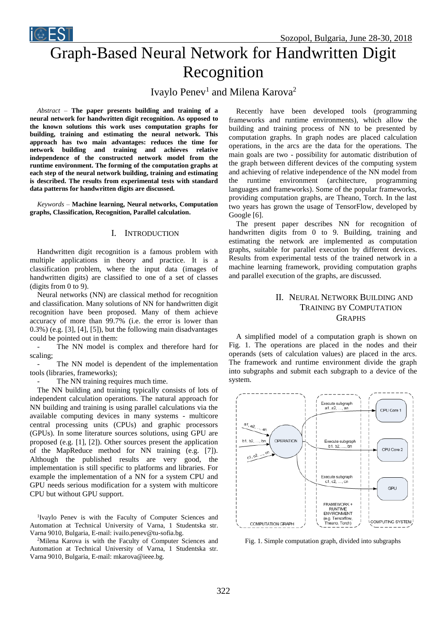Sozopol, Bulgaria, June 28-30, 2018

Graph-Based Neural Network for Handwritten Digit Recognition

Ivaylo Penev<sup>1</sup> and Milena Karova<sup>2</sup>

*Abstract –* **The paper presents building and training of a neural network for handwritten digit recognition. As opposed to the known solutions this work uses computation graphs for building, training and estimating the neural network. This approach has two main advantages: reduces the time for network building and training and achieves relative independence of the constructed network model from the runtime environment. The forming of the computation graphs at each step of the neural network building, training and estimating is described. The results from experimental tests with standard data patterns for handwritten digits are discussed.**

*Keywords –* **Machine learning, Neural networks, Computation graphs, Classification, Recognition, Parallel calculation.**

## I. INTRODUCTION

Handwritten digit recognition is a famous problem with multiple applications in theory and practice. It is a classification problem, where the input data (images of handwritten digits) are classified to one of a set of classes (digits from 0 to 9).

Neural networks (NN) are classical method for recognition and classification. Many solutions of NN for handwritten digit recognition have been proposed. Many of them achieve accuracy of more than 99.7% (i.e. the error is lower than 0.3%) (e.g. [3], [4], [5]), but the following main disadvantages could be pointed out in them:

- The NN model is complex and therefore hard for scaling;

The NN model is dependent of the implementation tools (libraries, frameworks);

The NN training requires much time.

The NN building and training typically consists of lots of independent calculation operations. The natural approach for NN building and training is using parallel calculations via the available computing devices in many systems - multicore central processing units (CPUs) and graphic processors (GPUs). In some literature sources solutions, using GPU are proposed (e.g. [1], [2]). Other sources present the application of the MapReduce method for NN training (e.g. [7]). Although the published results are very good, the implementation is still specific to platforms and libraries. For example the implementation of a NN for a system CPU and GPU needs serious modification for a system with multicore CPU but without GPU support.

<sup>1</sup>Ivaylo Penev is with the Faculty of Computer Sciences and Automation at Technical University of Varna, 1 Studentska str. Varna 9010, Bulgaria, E-mail: ivailo.penev@tu-sofia.bg.

<sup>2</sup>Milena Karova is with the Faculty of Computer Sciences and Automation at Technical University of Varna, 1 Studentska str. Varna 9010, Bulgaria, E-mail: mkarova@ieee.bg.

Recently have been developed tools (programming frameworks and runtime environments), which allow the building and training process of NN to be presented by computation graphs. In graph nodes are placed calculation operations, in the arcs are the data for the operations. The main goals are two - possibility for automatic distribution of the graph between different devices of the computing system and achieving of relative independence of the NN model from the runtime environment (architecture, programming languages and frameworks). Some of the popular frameworks, providing computation graphs, are Theano, Torch. In the last two years has grown the usage of TensorFlow, developed by Google [6].

The present paper describes NN for recognition of handwritten digits from 0 to 9. Building, training and estimating the network are implemented as computation graphs, suitable for parallel execution by different devices. Results from experimental tests of the trained network in a machine learning framework, providing computation graphs and parallel execution of the graphs, are discussed.

# II. NEURAL NETWORK BUILDING AND TRAINING BY COMPUTATION **GRAPHS**

A simplified model of a computation graph is shown on Fig. 1. The operations are placed in the nodes and their operands (sets of calculation values) are placed in the arcs. The framework and runtime environment divide the graph into subgraphs and submit each subgraph to a device of the system.



Fig. 1. Simple computation graph, divided into subgraphs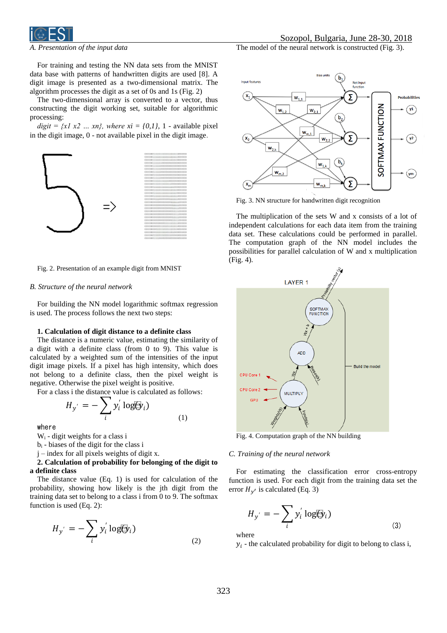

*A. Presentation of the input data*

For training and testing the NN data sets from the MNIST data base with patterns of handwritten digits are used [8]. A digit image is presented as a two-dimensional matrix. The algorithm processes the digit as a set of 0s and 1s (Fig. 2)

The two-dimensional array is converted to a vector, thus constructing the digit working set, suitable for algorithmic processing:

 $digit = \{x1 \ x2 \ ... \ xn\}$ , where  $xi = \{0,1\}$ , 1 - available pixel in the digit image, 0 - not available pixel in the digit image.



Fig. 2. Presentation of an example digit from MNIST

### *B. Structure of the neural network*

For building the NN model logarithmic softmax regression is used. The process follows the next two steps:

### **1. Calculation of digit distance to a definite class**

The distance is a numeric value, estimating the similarity of a digit with a definite class (from 0 to 9). This value is calculated by a weighted sum of the intensities of the input digit image pixels. If a pixel has high intensity, which does not belong to a definite class, then the pixel weight is negative. Otherwise the pixel weight is positive.

For a class i the distance value is calculated as follows:

$$
H_{y'} = -\sum_{i} y_i' \log(\hat{y}_i)
$$
 (1)

where

 $W_i$  - digit weights for a class i

b<sup>i</sup> - biases of the digit for the class i

j – index for all pixels weights of digit x.

## **2. Calculation of probability for belonging of the digit to a definite class**

The distance value (Eq. 1) is used for calculation of the probability, showing how likely is the jth digit from the training data set to belong to a class i from 0 to 9. The softmax function is used (Eq. 2):

$$
H_{y'} = -\sum_{i} y_i' \log(\hat{y}_i)
$$
\n(2)

The model of the neural network is constructed (Fig. 3).



Fig. 3. NN structure for handwritten digit recognition

The multiplication of the sets W and x consists of a lot of independent calculations for each data item from the training data set. These calculations could be performed in parallel. The computation graph of the NN model includes the possibilities for parallel calculation of W and x multiplication (Fig. 4).



Fig. 4. Computation graph of the NN building

#### *C. Training of the neural network*

For estimating the classification error cross-entropy function is used. For each digit from the training data set the error  $H_{y'}$  is calculated (Eq. 3)

$$
H_{y'} = -\sum_{i} y_i' \log(\hat{y}_i)
$$
\n(3)

where

 $y_i$  - the calculated probability for digit to belong to class i,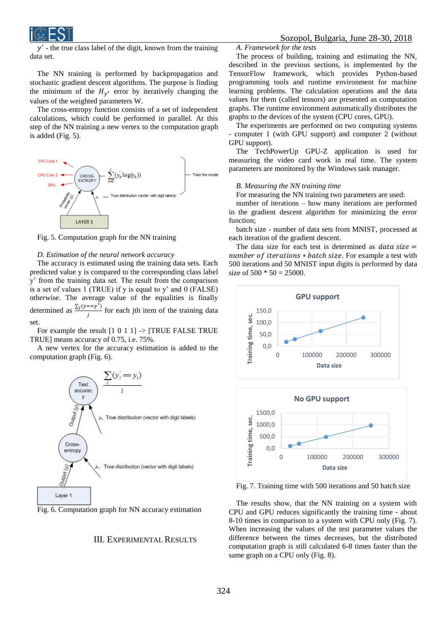

 $y'$ - the true class label of the digit, known from the training data set.

The NN training is performed by backpropagation and stochastic gradient descent algorithms. The purpose is finding the minimum of the  $H_{y'}$  error by iteratively changing the values of the weighted parameters W.

The cross-entropy function consists of a set of independent calculations, which could be performed in parallel. At this step of the NN training a new vertex to the computation graph is added (Fig. 5).



Fig. 5. Computation graph for the NN training

#### *D. Estimation of the neural network accuracy*

The accuracy is estimated using the training data sets. Each predicted value y is compared to the corresponding class label y' from the training data set. The result from the comparison is a set of values 1 (TRUE) if y is equal to y' and 0 (FALSE) otherwise. The average value of the equalities is finally determined as  $\frac{\sum_j (y == y')}{\sum_j (y == y')^2}$  $\frac{f(x)-f(y)}{f}$  for each jth item of the training data set.

For example the result  $[1 \ 0 \ 1 \ 1]$  ->  $[TRUE$  FALSE TRUE TRUE] means accuracy of 0.75, i.e. 75%.

A new vertex for the accuracy estimation is added to the computation graph (Fig. 6).



Fig. 6. Computation graph for NN accuracy estimation

## III. EXPERIMENTAL RESULTS

### *A. Framework for the tests*

The process of building, training and estimating the NN, described in the previous sections, is implemented by the TensorFlow framework, which provides Python-based programming tools and runtime environment for machine learning problems. The calculation operations and the data values for them (called tensors) are presented as computation graphs. The runtime environment automatically distributes the graphs to the devices of the system (CPU cores, GPU).

The experiments are performed on two computing systems - computer 1 (with GPU support) and computer 2 (without GPU support).

The TechPowerUp GPU-Z application is used for measuring the video card work in real time. The system parameters are monitored by the Windows task manager.

## *B. Measuring the NN training time*

For measuring the NN training two parameters are used:

number of iterations – how many iterations are performed in the gradient descent algorithm for minimizing the error function;

batch size - number of data sets from MNIST, processed at each iteration of the gradient descent.

The data size for each test is determined as  $data size =$ number of iterations  $*$  batch size. For example a test with 500 iterations and 50 MNIST input digits is performed by data size of  $500 * 50 = 25000$ .





Fig. 7. Training time with 500 iterations and 50 batch size

The results show, that the NN training on a system with CPU and GPU reduces significantly the training time - about 8-10 times in comparison to a system with CPU only (Fig. 7). When increasing the values of the test parameter values the difference between the times decreases, but the distributed computation graph is still calculated 6-8 times faster than the same graph on a CPU only (Fig. 8).